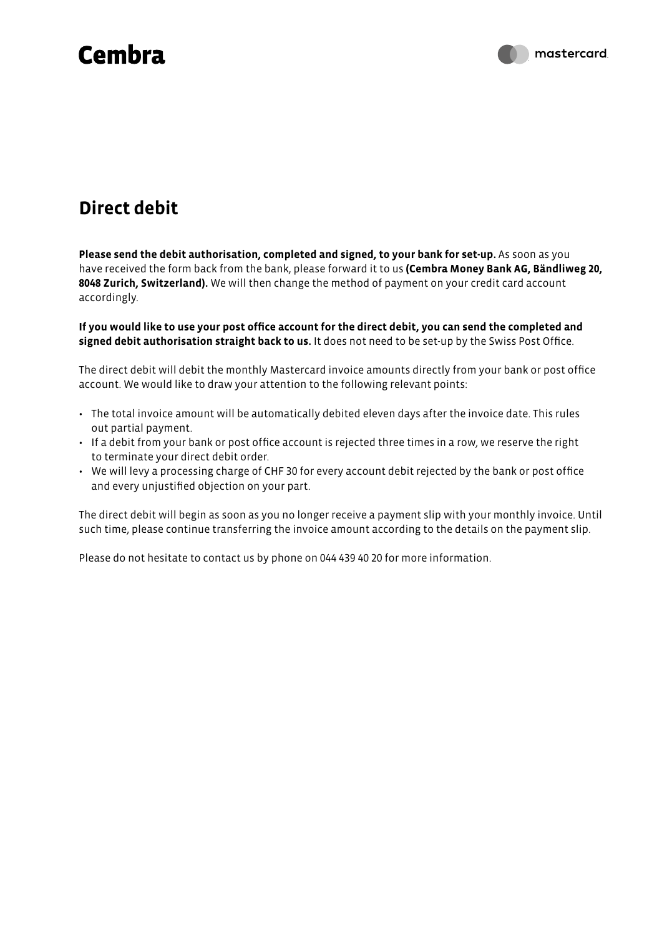## **Cembra**

### **Direct debit**

**Please send the debit authorisation, completed and signed, to your bank for set-up.** As soon as you have received the form back from the bank, please forward it to us **(Cembra Money Bank AG, Bändliweg 20, 8048 Zurich, Switzerland).** We will then change the method of payment on your credit card account accordingly.

**If you would like to use your post office account for the direct debit, you can send the completed and signed debit authorisation straight back to us.** It does not need to be set-up by the Swiss Post Office.

The direct debit will debit the monthly Mastercard invoice amounts directly from your bank or post office account. We would like to draw your attention to the following relevant points:

- The total invoice amount will be automatically debited eleven days after the invoice date. This rules out partial payment.
- If a debit from your bank or post office account is rejected three times in a row, we reserve the right to terminate your direct debit order.
- We will levy a processing charge of CHF 30 for every account debit rejected by the bank or post office and every unjustified objection on your part.

The direct debit will begin as soon as you no longer receive a payment slip with your monthly invoice. Until such time, please continue transferring the invoice amount according to the details on the payment slip.

Please do not hesitate to contact us by phone on 044 439 40 20 for more information.